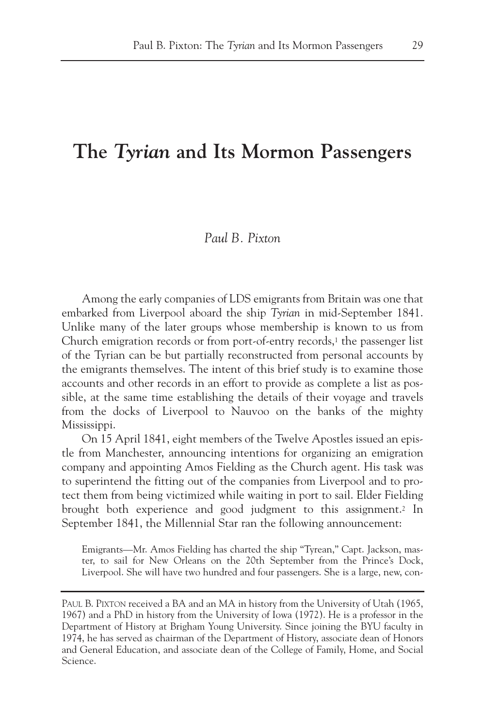# **The** *Tyrian* **and Its Mormon Passengers**

## *Paul B. Pixton*

Among the early companies of LDS emigrants from Britain was one that embarked from Liverpool aboard the ship *Tyrian* in mid-September 1841. Unlike many of the later groups whose membership is known to us from Church emigration records or from port-of-entry records,<sup>1</sup> the passenger list of the Tyrian can be but partially reconstructed from personal accounts by the emigrants themselves. The intent of this brief study is to examine those accounts and other records in an effort to provide as complete a list as possible, at the same time establishing the details of their voyage and travels from the docks of Liverpool to Nauvoo on the banks of the mighty Mississippi.

On 15 April 1841, eight members of the Twelve Apostles issued an epistle from Manchester, announcing intentions for organizing an emigration company and appointing Amos Fielding as the Church agent. His task was to superintend the fitting out of the companies from Liverpool and to protect them from being victimized while waiting in port to sail. Elder Fielding brought both experience and good judgment to this assignment.2 In September 1841, the Millennial Star ran the following announcement:

Emigrants—Mr. Amos Fielding has charted the ship "Tyrean," Capt. Jackson, master, to sail for New Orleans on the 20th September from the Prince's Dock, Liverpool. She will have two hundred and four passengers. She is a large, new, con-

PAUL B. PIXTON received a BA and an MA in history from the University of Utah (1965, 1967) and a PhD in history from the University of Iowa (1972). He is a professor in the Department of History at Brigham Young University. Since joining the BYU faculty in 1974, he has served as chairman of the Department of History, associate dean of Honors and General Education, and associate dean of the College of Family, Home, and Social Science.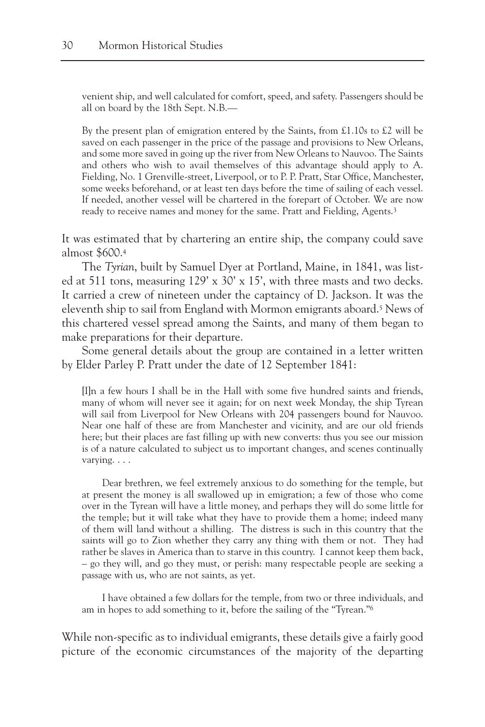venient ship, and well calculated for comfort, speed, and safety. Passengers should be all on board by the 18th Sept. N.B.—

By the present plan of emigration entered by the Saints, from £1.10s to £2 will be saved on each passenger in the price of the passage and provisions to New Orleans, and some more saved in going up the river from New Orleans to Nauvoo. The Saints and others who wish to avail themselves of this advantage should apply to A. Fielding, No. 1 Grenville-street, Liverpool, or to P. P. Pratt, Star Office, Manchester, some weeks beforehand, or at least ten days before the time of sailing of each vessel. If needed, another vessel will be chartered in the forepart of October. We are now ready to receive names and money for the same. Pratt and Fielding, Agents.3

It was estimated that by chartering an entire ship, the company could save almost \$600.4

The *Tyrian*, built by Samuel Dyer at Portland, Maine, in 1841, was listed at 511 tons, measuring 129' x 30' x 15', with three masts and two decks. It carried a crew of nineteen under the captaincy of D. Jackson. It was the eleventh ship to sail from England with Mormon emigrants aboard.5 News of this chartered vessel spread among the Saints, and many of them began to make preparations for their departure.

Some general details about the group are contained in a letter written by Elder Parley P. Pratt under the date of 12 September 1841:

[I]n a few hours I shall be in the Hall with some five hundred saints and friends, many of whom will never see it again; for on next week Monday, the ship Tyrean will sail from Liverpool for New Orleans with 204 passengers bound for Nauvoo. Near one half of these are from Manchester and vicinity, and are our old friends here; but their places are fast filling up with new converts: thus you see our mission is of a nature calculated to subject us to important changes, and scenes continually varying. . . .

Dear brethren, we feel extremely anxious to do something for the temple, but at present the money is all swallowed up in emigration; a few of those who come over in the Tyrean will have a little money, and perhaps they will do some little for the temple; but it will take what they have to provide them a home; indeed many of them will land without a shilling. The distress is such in this country that the saints will go to Zion whether they carry any thing with them or not. They had rather be slaves in America than to starve in this country. I cannot keep them back, – go they will, and go they must, or perish: many respectable people are seeking a passage with us, who are not saints, as yet.

I have obtained a few dollars for the temple, from two or three individuals, and am in hopes to add something to it, before the sailing of the "Tyrean."6

While non-specific as to individual emigrants, these details give a fairly good picture of the economic circumstances of the majority of the departing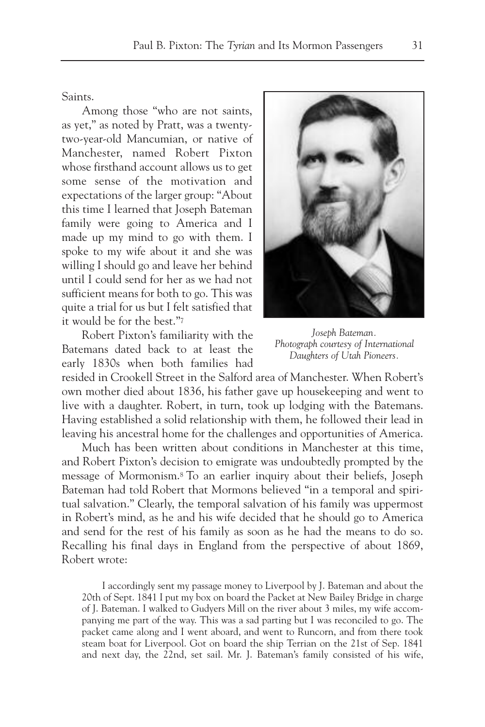Saints.

Among those "who are not saints, as yet," as noted by Pratt, was a twentytwo-year-old Mancumian, or native of Manchester, named Robert Pixton whose firsthand account allows us to get some sense of the motivation and expectations of the larger group: "About this time I learned that Joseph Bateman family were going to America and I made up my mind to go with them. I spoke to my wife about it and she was willing I should go and leave her behind until I could send for her as we had not sufficient means for both to go. This was quite a trial for us but I felt satisfied that it would be for the best."7

Robert Pixton's familiarity with the Batemans dated back to at least the early 1830s when both families had



*Joseph Bateman. Photograph courtesy of International Daughters of Utah Pioneers.*

resided in Crookell Street in the Salford area of Manchester. When Robert's own mother died about 1836, his father gave up housekeeping and went to live with a daughter. Robert, in turn, took up lodging with the Batemans. Having established a solid relationship with them, he followed their lead in leaving his ancestral home for the challenges and opportunities of America.

Much has been written about conditions in Manchester at this time, and Robert Pixton's decision to emigrate was undoubtedly prompted by the message of Mormonism.8 To an earlier inquiry about their beliefs, Joseph Bateman had told Robert that Mormons believed "in a temporal and spiritual salvation." Clearly, the temporal salvation of his family was uppermost in Robert's mind, as he and his wife decided that he should go to America and send for the rest of his family as soon as he had the means to do so. Recalling his final days in England from the perspective of about 1869, Robert wrote:

I accordingly sent my passage money to Liverpool by J. Bateman and about the 20th of Sept. 1841 I put my box on board the Packet at New Bailey Bridge in charge of J. Bateman. I walked to Gudyers Mill on the river about 3 miles, my wife accompanying me part of the way. This was a sad parting but I was reconciled to go. The packet came along and I went aboard, and went to Runcorn, and from there took steam boat for Liverpool. Got on board the ship Terrian on the 21st of Sep. 1841 and next day, the 22nd, set sail. Mr. J. Bateman's family consisted of his wife,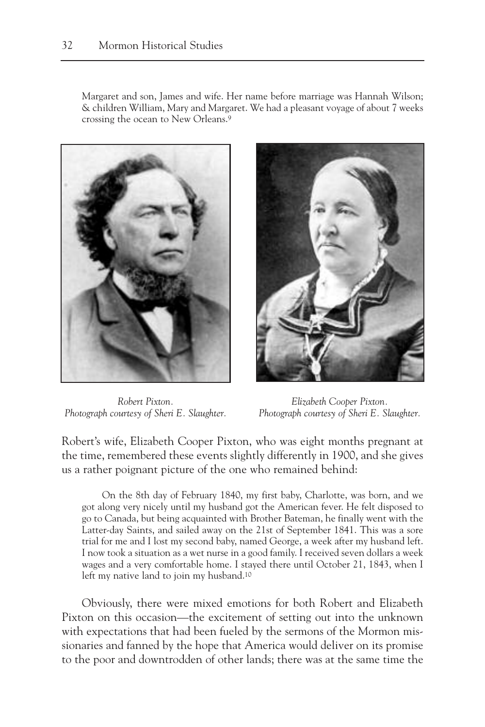Margaret and son, James and wife. Her name before marriage was Hannah Wilson; & children William, Mary and Margaret. We had a pleasant voyage of about 7 weeks crossing the ocean to New Orleans.9



*Robert Pixton. Photograph courtesy of Sheri E. Slaughter.*



*Elizabeth Cooper Pixton. Photograph courtesy of Sheri E. Slaughter.*

Robert's wife, Elizabeth Cooper Pixton, who was eight months pregnant at the time, remembered these events slightly differently in 1900, and she gives us a rather poignant picture of the one who remained behind:

On the 8th day of February 1840, my first baby, Charlotte, was born, and we got along very nicely until my husband got the American fever. He felt disposed to go to Canada, but being acquainted with Brother Bateman, he finally went with the Latter-day Saints, and sailed away on the 21st of September 1841. This was a sore trial for me and I lost my second baby, named George, a week after my husband left. I now took a situation as a wet nurse in a good family. I received seven dollars a week wages and a very comfortable home. I stayed there until October 21, 1843, when I left my native land to join my husband.10

Obviously, there were mixed emotions for both Robert and Elizabeth Pixton on this occasion—the excitement of setting out into the unknown with expectations that had been fueled by the sermons of the Mormon missionaries and fanned by the hope that America would deliver on its promise to the poor and downtrodden of other lands; there was at the same time the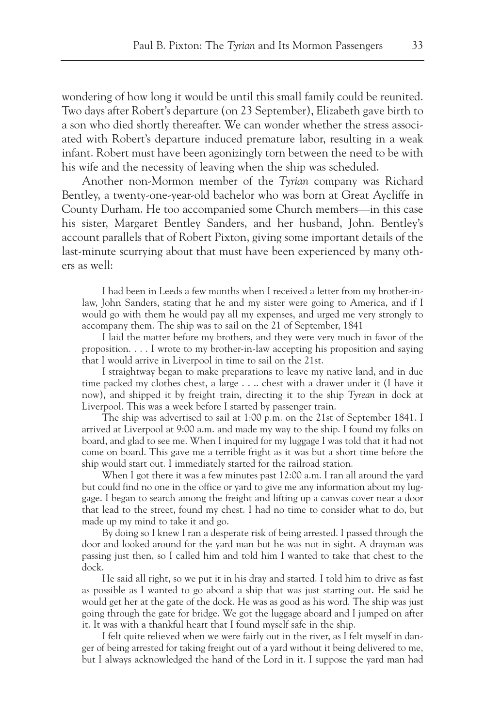wondering of how long it would be until this small family could be reunited. Two days after Robert's departure (on 23 September), Elizabeth gave birth to a son who died shortly thereafter. We can wonder whether the stress associated with Robert's departure induced premature labor, resulting in a weak infant. Robert must have been agonizingly torn between the need to be with his wife and the necessity of leaving when the ship was scheduled.

Another non-Mormon member of the *Tyrian* company was Richard Bentley, a twenty-one-year-old bachelor who was born at Great Aycliffe in County Durham. He too accompanied some Church members—in this case his sister, Margaret Bentley Sanders, and her husband, John. Bentley's account parallels that of Robert Pixton, giving some important details of the last-minute scurrying about that must have been experienced by many others as well:

I had been in Leeds a few months when I received a letter from my brother-inlaw, John Sanders, stating that he and my sister were going to America, and if I would go with them he would pay all my expenses, and urged me very strongly to accompany them. The ship was to sail on the 21 of September, 1841

I laid the matter before my brothers, and they were very much in favor of the proposition. . . . I wrote to my brother-in-law accepting his proposition and saying that I would arrive in Liverpool in time to sail on the 21st.

I straightway began to make preparations to leave my native land, and in due time packed my clothes chest, a large . . .. chest with a drawer under it (I have it now), and shipped it by freight train, directing it to the ship *Tyrean* in dock at Liverpool. This was a week before I started by passenger train.

The ship was advertised to sail at 1:00 p.m. on the 21st of September 1841. I arrived at Liverpool at 9:00 a.m. and made my way to the ship. I found my folks on board, and glad to see me. When I inquired for my luggage I was told that it had not come on board. This gave me a terrible fright as it was but a short time before the ship would start out. I immediately started for the railroad station.

When I got there it was a few minutes past 12:00 a.m. I ran all around the yard but could find no one in the office or yard to give me any information about my luggage. I began to search among the freight and lifting up a canvas cover near a door that lead to the street, found my chest. I had no time to consider what to do, but made up my mind to take it and go.

By doing so I knew I ran a desperate risk of being arrested. I passed through the door and looked around for the yard man but he was not in sight. A drayman was passing just then, so I called him and told him I wanted to take that chest to the dock.

He said all right, so we put it in his dray and started. I told him to drive as fast as possible as I wanted to go aboard a ship that was just starting out. He said he would get her at the gate of the dock. He was as good as his word. The ship was just going through the gate for bridge. We got the luggage aboard and I jumped on after it. It was with a thankful heart that I found myself safe in the ship.

I felt quite relieved when we were fairly out in the river, as I felt myself in danger of being arrested for taking freight out of a yard without it being delivered to me, but I always acknowledged the hand of the Lord in it. I suppose the yard man had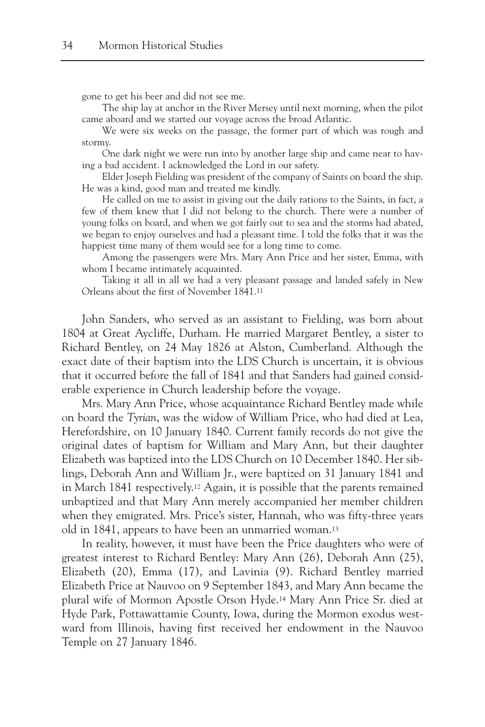gone to get his beer and did not see me.

The ship lay at anchor in the River Mersey until next morning, when the pilot came aboard and we started our voyage across the broad Atlantic.

We were six weeks on the passage, the former part of which was rough and stormy.

One dark night we were run into by another large ship and came near to having a bad accident. I acknowledged the Lord in our safety.

Elder Joseph Fielding was president of the company of Saints on board the ship. He was a kind, good man and treated me kindly.

He called on me to assist in giving out the daily rations to the Saints, in fact, a few of them knew that I did not belong to the church. There were a number of young folks on board, and when we got fairly out to sea and the storms had abated, we began to enjoy ourselves and had a pleasant time. I told the folks that it was the happiest time many of them would see for a long time to come.

Among the passengers were Mrs. Mary Ann Price and her sister, Emma, with whom I became intimately acquainted.

Taking it all in all we had a very pleasant passage and landed safely in New Orleans about the first of November 1841.11

John Sanders, who served as an assistant to Fielding, was born about 1804 at Great Aycliffe, Durham. He married Margaret Bentley, a sister to Richard Bentley, on 24 May 1826 at Alston, Cumberland. Although the exact date of their baptism into the LDS Church is uncertain, it is obvious that it occurred before the fall of 1841 and that Sanders had gained considerable experience in Church leadership before the voyage.

Mrs. Mary Ann Price, whose acquaintance Richard Bentley made while on board the *Tyrian*, was the widow of William Price, who had died at Lea, Herefordshire, on 10 January 1840. Current family records do not give the original dates of baptism for William and Mary Ann, but their daughter Elizabeth was baptized into the LDS Church on 10 December 1840. Her siblings, Deborah Ann and William Jr., were baptized on 31 January 1841 and in March 1841 respectively.12 Again, it is possible that the parents remained unbaptized and that Mary Ann merely accompanied her member children when they emigrated. Mrs. Price's sister, Hannah, who was fifty-three years old in 1841, appears to have been an unmarried woman.13

In reality, however, it must have been the Price daughters who were of greatest interest to Richard Bentley: Mary Ann (26), Deborah Ann (25), Elizabeth (20), Emma (17), and Lavinia (9). Richard Bentley married Elizabeth Price at Nauvoo on 9 September 1843, and Mary Ann became the plural wife of Mormon Apostle Orson Hyde.14 Mary Ann Price Sr. died at Hyde Park, Pottawattamie County, Iowa, during the Mormon exodus westward from Illinois, having first received her endowment in the Nauvoo Temple on 27 January 1846.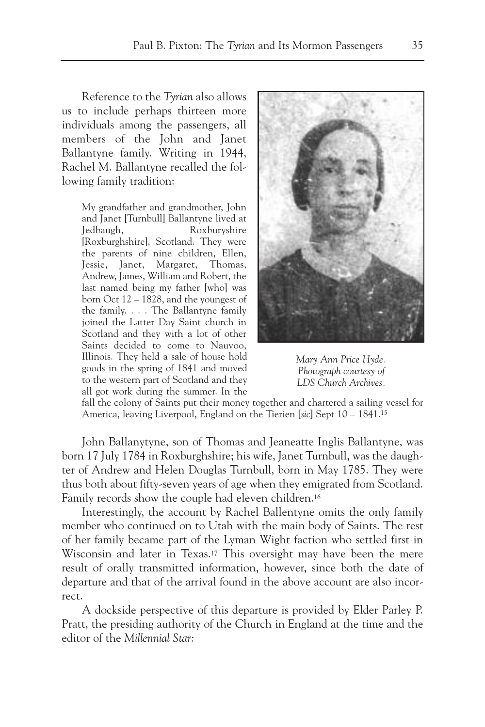Reference to the *Tyrian* also allows us to include perhaps thirteen more individuals among the passengers, all members of the John and Janet Ballantyne family. Writing in 1944, Rachel M. Ballantyne recalled the following family tradition:

> My grandfather and grandmother, John and Janet [Turnbull] Ballantyne lived at Jedbaugh, Roxburyshire [Roxburghshire], Scotland. They were the parents of nine children, Ellen, Jessie, Janet, Margaret, Thomas, Andrew, James, William and Robert, the last named being my father [who] was born Oct 12 – 1828, and the youngest of the family. . . . The Ballantyne family joined the Latter Day Saint church in Scotland and they with a lot of other Saints decided to come to Nauvoo, Illinois. They held a sale of house hold goods in the spring of 1841 and moved to the western part of Scotland and they all got work during the summer. In the



*Mary Ann Price Hyde. Photograph courtesy of LDS Church Archives.*

fall the colony of Saints put their money together and chartered a sailing vessel for America, leaving Liverpool, England on the Tierien [*sic*] Sept 10 – 1841.15

John Ballanytyne, son of Thomas and Jeaneatte Inglis Ballantyne, was born 17 July 1784 in Roxburghshire; his wife, Janet Turnbull, was the daughter of Andrew and Helen Douglas Turnbull, born in May 1785. They were thus both about fifty-seven years of age when they emigrated from Scotland. Family records show the couple had eleven children.16

Interestingly, the account by Rachel Ballentyne omits the only family member who continued on to Utah with the main body of Saints. The rest of her family became part of the Lyman Wight faction who settled first in Wisconsin and later in Texas.17 This oversight may have been the mere result of orally transmitted information, however, since both the date of departure and that of the arrival found in the above account are also incorrect.

A dockside perspective of this departure is provided by Elder Parley P. Pratt, the presiding authority of the Church in England at the time and the editor of the *Millennial Star*: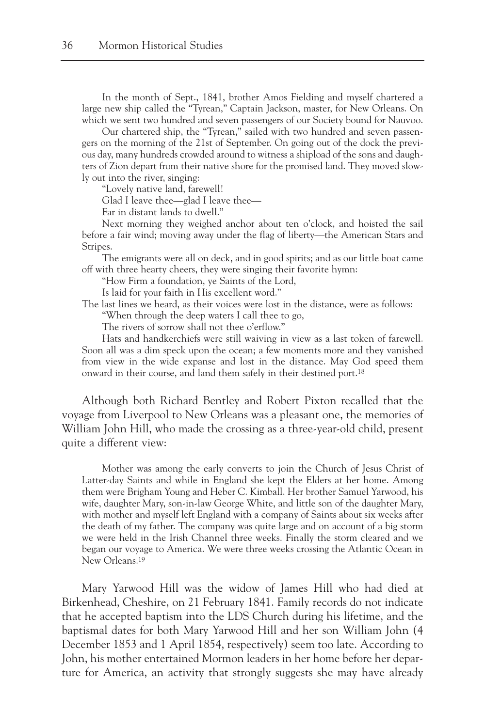In the month of Sept., 1841, brother Amos Fielding and myself chartered a large new ship called the "Tyrean," Captain Jackson, master, for New Orleans. On which we sent two hundred and seven passengers of our Society bound for Nauvoo.

Our chartered ship, the "Tyrean," sailed with two hundred and seven passengers on the morning of the 21st of September. On going out of the dock the previous day, many hundreds crowded around to witness a shipload of the sons and daughters of Zion depart from their native shore for the promised land. They moved slowly out into the river, singing:

"Lovely native land, farewell!

Glad I leave thee—glad I leave thee—

Far in distant lands to dwell."

Next morning they weighed anchor about ten o'clock, and hoisted the sail before a fair wind; moving away under the flag of liberty—the American Stars and Stripes.

The emigrants were all on deck, and in good spirits; and as our little boat came off with three hearty cheers, they were singing their favorite hymn:

"How Firm a foundation, ye Saints of the Lord,

Is laid for your faith in His excellent word."

The last lines we heard, as their voices were lost in the distance, were as follows:

"When through the deep waters I call thee to go,

The rivers of sorrow shall not thee o'erflow."

Hats and handkerchiefs were still waiving in view as a last token of farewell. Soon all was a dim speck upon the ocean; a few moments more and they vanished from view in the wide expanse and lost in the distance. May God speed them onward in their course, and land them safely in their destined port.18

Although both Richard Bentley and Robert Pixton recalled that the voyage from Liverpool to New Orleans was a pleasant one, the memories of William John Hill, who made the crossing as a three-year-old child, present quite a different view:

Mother was among the early converts to join the Church of Jesus Christ of Latter-day Saints and while in England she kept the Elders at her home. Among them were Brigham Young and Heber C. Kimball. Her brother Samuel Yarwood, his wife, daughter Mary, son-in-law George White, and little son of the daughter Mary, with mother and myself left England with a company of Saints about six weeks after the death of my father. The company was quite large and on account of a big storm we were held in the Irish Channel three weeks. Finally the storm cleared and we began our voyage to America. We were three weeks crossing the Atlantic Ocean in New Orleans<sup>19</sup>

Mary Yarwood Hill was the widow of James Hill who had died at Birkenhead, Cheshire, on 21 February 1841. Family records do not indicate that he accepted baptism into the LDS Church during his lifetime, and the baptismal dates for both Mary Yarwood Hill and her son William John (4 December 1853 and 1 April 1854, respectively) seem too late. According to John, his mother entertained Mormon leaders in her home before her departure for America, an activity that strongly suggests she may have already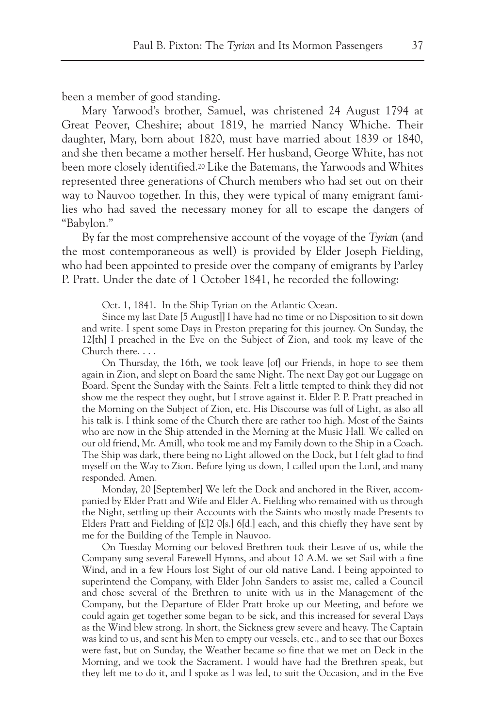been a member of good standing.

Mary Yarwood's brother, Samuel, was christened 24 August 1794 at Great Peover, Cheshire; about 1819, he married Nancy Whiche. Their daughter, Mary, born about 1820, must have married about 1839 or 1840, and she then became a mother herself. Her husband, George White, has not been more closely identified.20 Like the Batemans, the Yarwoods and Whites represented three generations of Church members who had set out on their way to Nauvoo together. In this, they were typical of many emigrant families who had saved the necessary money for all to escape the dangers of "Babylon."

By far the most comprehensive account of the voyage of the *Tyrian* (and the most contemporaneous as well) is provided by Elder Joseph Fielding, who had been appointed to preside over the company of emigrants by Parley P. Pratt. Under the date of 1 October 1841, he recorded the following:

Oct. 1, 1841. In the Ship Tyrian on the Atlantic Ocean.

Since my last Date [5 August]] I have had no time or no Disposition to sit down and write. I spent some Days in Preston preparing for this journey. On Sunday, the 12[th] I preached in the Eve on the Subject of Zion, and took my leave of the Church there. . . .

On Thursday, the 16th, we took leave [of] our Friends, in hope to see them again in Zion, and slept on Board the same Night. The next Day got our Luggage on Board. Spent the Sunday with the Saints. Felt a little tempted to think they did not show me the respect they ought, but I strove against it. Elder P. P. Pratt preached in the Morning on the Subject of Zion, etc. His Discourse was full of Light, as also all his talk is. I think some of the Church there are rather too high. Most of the Saints who are now in the Ship attended in the Morning at the Music Hall. We called on our old friend, Mr. Amill, who took me and my Family down to the Ship in a Coach. The Ship was dark, there being no Light allowed on the Dock, but I felt glad to find myself on the Way to Zion. Before lying us down, I called upon the Lord, and many responded. Amen.

Monday, 20 [September] We left the Dock and anchored in the River, accompanied by Elder Pratt and Wife and Elder A. Fielding who remained with us through the Night, settling up their Accounts with the Saints who mostly made Presents to Elders Pratt and Fielding of  $[\text{\pounds}]2$  O[s.] 6[d.] each, and this chiefly they have sent by me for the Building of the Temple in Nauvoo.

On Tuesday Morning our beloved Brethren took their Leave of us, while the Company sung several Farewell Hymns, and about 10 A.M. we set Sail with a fine Wind, and in a few Hours lost Sight of our old native Land. I being appointed to superintend the Company, with Elder John Sanders to assist me, called a Council and chose several of the Brethren to unite with us in the Management of the Company, but the Departure of Elder Pratt broke up our Meeting, and before we could again get together some began to be sick, and this increased for several Days as the Wind blew strong. In short, the Sickness grew severe and heavy. The Captain was kind to us, and sent his Men to empty our vessels, etc., and to see that our Boxes were fast, but on Sunday, the Weather became so fine that we met on Deck in the Morning, and we took the Sacrament. I would have had the Brethren speak, but they left me to do it, and I spoke as I was led, to suit the Occasion, and in the Eve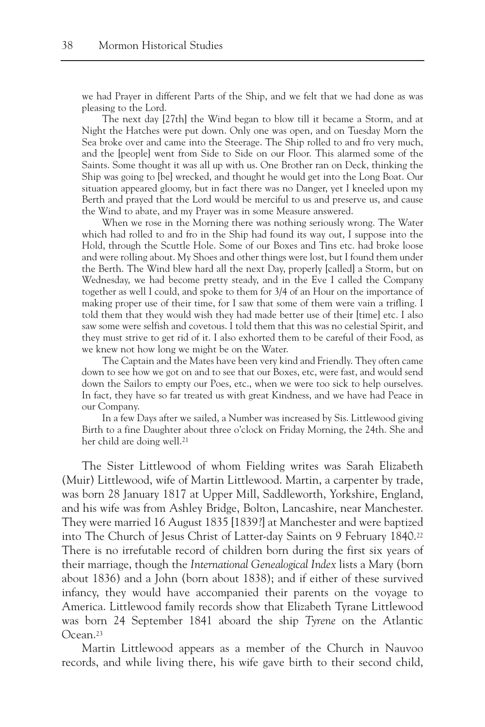we had Prayer in different Parts of the Ship, and we felt that we had done as was pleasing to the Lord.

The next day [27th] the Wind began to blow till it became a Storm, and at Night the Hatches were put down. Only one was open, and on Tuesday Morn the Sea broke over and came into the Steerage. The Ship rolled to and fro very much, and the [people] went from Side to Side on our Floor. This alarmed some of the Saints. Some thought it was all up with us. One Brother ran on Deck, thinking the Ship was going to [be] wrecked, and thought he would get into the Long Boat. Our situation appeared gloomy, but in fact there was no Danger, yet I kneeled upon my Berth and prayed that the Lord would be merciful to us and preserve us, and cause the Wind to abate, and my Prayer was in some Measure answered.

When we rose in the Morning there was nothing seriously wrong. The Water which had rolled to and fro in the Ship had found its way out, I suppose into the Hold, through the Scuttle Hole. Some of our Boxes and Tins etc. had broke loose and were rolling about. My Shoes and other things were lost, but I found them under the Berth. The Wind blew hard all the next Day, properly [called] a Storm, but on Wednesday, we had become pretty steady, and in the Eve I called the Company together as well I could, and spoke to them for 3/4 of an Hour on the importance of making proper use of their time, for I saw that some of them were vain a trifling. I told them that they would wish they had made better use of their [time] etc. I also saw some were selfish and covetous. I told them that this was no celestial Spirit, and they must strive to get rid of it. I also exhorted them to be careful of their Food, as we knew not how long we might be on the Water.

The Captain and the Mates have been very kind and Friendly. They often came down to see how we got on and to see that our Boxes, etc, were fast, and would send down the Sailors to empty our Poes, etc., when we were too sick to help ourselves. In fact, they have so far treated us with great Kindness, and we have had Peace in our Company.

In a few Days after we sailed, a Number was increased by Sis. Littlewood giving Birth to a fine Daughter about three o'clock on Friday Morning, the 24th. She and her child are doing well.21

The Sister Littlewood of whom Fielding writes was Sarah Elizabeth (Muir) Littlewood, wife of Martin Littlewood. Martin, a carpenter by trade, was born 28 January 1817 at Upper Mill, Saddleworth, Yorkshire, England, and his wife was from Ashley Bridge, Bolton, Lancashire, near Manchester. They were married 16 August 1835 [1839?] at Manchester and were baptized into The Church of Jesus Christ of Latter-day Saints on 9 February 1840.22 There is no irrefutable record of children born during the first six years of their marriage, though the *International Genealogical Index* lists a Mary (born about 1836) and a John (born about 1838); and if either of these survived infancy, they would have accompanied their parents on the voyage to America. Littlewood family records show that Elizabeth Tyrane Littlewood was born 24 September 1841 aboard the ship *Tyrene* on the Atlantic Ocean.23

Martin Littlewood appears as a member of the Church in Nauvoo records, and while living there, his wife gave birth to their second child,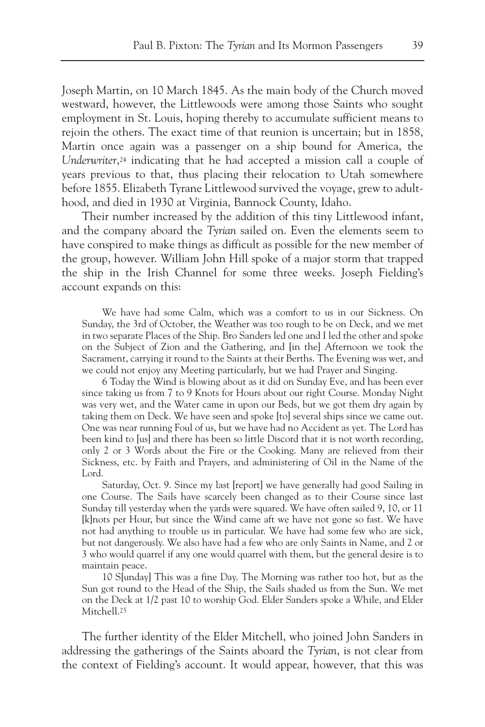Joseph Martin, on 10 March 1845. As the main body of the Church moved westward, however, the Littlewoods were among those Saints who sought employment in St. Louis, hoping thereby to accumulate sufficient means to rejoin the others. The exact time of that reunion is uncertain; but in 1858, Martin once again was a passenger on a ship bound for America, the *Underwriter*,<sup>24</sup> indicating that he had accepted a mission call a couple of years previous to that, thus placing their relocation to Utah somewhere before 1855. Elizabeth Tyrane Littlewood survived the voyage, grew to adulthood, and died in 1930 at Virginia, Bannock County, Idaho.

Their number increased by the addition of this tiny Littlewood infant, and the company aboard the *Tyrian* sailed on. Even the elements seem to have conspired to make things as difficult as possible for the new member of the group, however. William John Hill spoke of a major storm that trapped the ship in the Irish Channel for some three weeks. Joseph Fielding's account expands on this:

We have had some Calm, which was a comfort to us in our Sickness. On Sunday, the 3rd of October, the Weather was too rough to be on Deck, and we met in two separate Places of the Ship. Bro Sanders led one and I led the other and spoke on the Subject of Zion and the Gathering, and [in the] Afternoon we took the Sacrament, carrying it round to the Saints at their Berths. The Evening was wet, and we could not enjoy any Meeting particularly, but we had Prayer and Singing.

6 Today the Wind is blowing about as it did on Sunday Eve, and has been ever since taking us from 7 to 9 Knots for Hours about our right Course. Monday Night was very wet, and the Water came in upon our Beds, but we got them dry again by taking them on Deck. We have seen and spoke [to] several ships since we came out. One was near running Foul of us, but we have had no Accident as yet. The Lord has been kind to [us] and there has been so little Discord that it is not worth recording, only 2 or 3 Words about the Fire or the Cooking. Many are relieved from their Sickness, etc. by Faith and Prayers, and administering of Oil in the Name of the Lord.

Saturday, Oct. 9. Since my last [report] we have generally had good Sailing in one Course. The Sails have scarcely been changed as to their Course since last Sunday till yesterday when the yards were squared. We have often sailed 9, 10, or 11 [k]nots per Hour, but since the Wind came aft we have not gone so fast. We have not had anything to trouble us in particular. We have had some few who are sick, but not dangerously. We also have had a few who are only Saints in Name, and 2 or 3 who would quarrel if any one would quarrel with them, but the general desire is to maintain peace.

10 S[unday] This was a fine Day. The Morning was rather too hot, but as the Sun got round to the Head of the Ship, the Sails shaded us from the Sun. We met on the Deck at 1/2 past 10 to worship God. Elder Sanders spoke a While, and Elder Mitchell.<sup>25</sup>

The further identity of the Elder Mitchell, who joined John Sanders in addressing the gatherings of the Saints aboard the *Tyrian*, is not clear from the context of Fielding's account. It would appear, however, that this was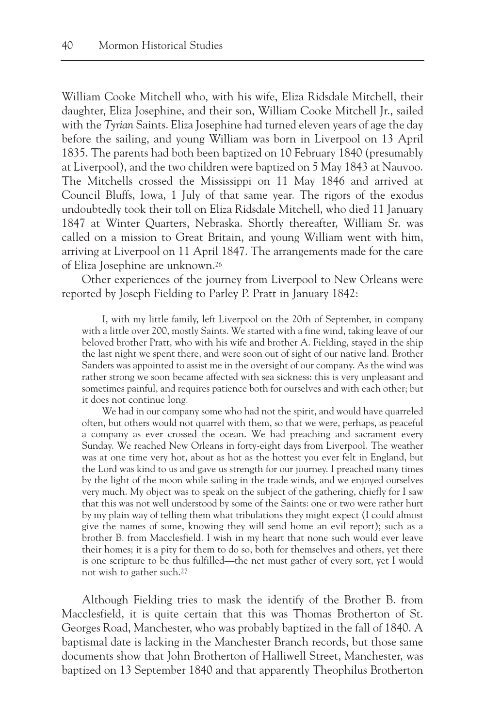William Cooke Mitchell who, with his wife, Eliza Ridsdale Mitchell, their daughter, Eliza Josephine, and their son, William Cooke Mitchell Jr., sailed with the *Tyrian* Saints. Eliza Josephine had turned eleven years of age the day before the sailing, and young William was born in Liverpool on 13 April 1835. The parents had both been baptized on 10 February 1840 (presumably at Liverpool), and the two children were baptized on 5 May 1843 at Nauvoo. The Mitchells crossed the Mississippi on 11 May 1846 and arrived at Council Bluffs, Iowa, 1 July of that same year. The rigors of the exodus undoubtedly took their toll on Eliza Ridsdale Mitchell, who died 11 January 1847 at Winter Quarters, Nebraska. Shortly thereafter, William Sr. was called on a mission to Great Britain, and young William went with him, arriving at Liverpool on 11 April 1847. The arrangements made for the care of Eliza Josephine are unknown.26

Other experiences of the journey from Liverpool to New Orleans were reported by Joseph Fielding to Parley P. Pratt in January 1842:

I, with my little family, left Liverpool on the 20th of September, in company with a little over 200, mostly Saints. We started with a fine wind, taking leave of our beloved brother Pratt, who with his wife and brother A. Fielding, stayed in the ship the last night we spent there, and were soon out of sight of our native land. Brother Sanders was appointed to assist me in the oversight of our company. As the wind was rather strong we soon became affected with sea sickness: this is very unpleasant and sometimes painful, and requires patience both for ourselves and with each other; but it does not continue long.

We had in our company some who had not the spirit, and would have quarreled often, but others would not quarrel with them, so that we were, perhaps, as peaceful a company as ever crossed the ocean. We had preaching and sacrament every Sunday. We reached New Orleans in forty-eight days from Liverpool. The weather was at one time very hot, about as hot as the hottest you ever felt in England, but the Lord was kind to us and gave us strength for our journey. I preached many times by the light of the moon while sailing in the trade winds, and we enjoyed ourselves very much. My object was to speak on the subject of the gathering, chiefly for I saw that this was not well understood by some of the Saints: one or two were rather hurt by my plain way of telling them what tribulations they might expect (I could almost give the names of some, knowing they will send home an evil report); such as a brother B. from Macclesfield. I wish in my heart that none such would ever leave their homes; it is a pity for them to do so, both for themselves and others, yet there is one scripture to be thus fulfilled—the net must gather of every sort, yet I would not wish to gather such.27

Although Fielding tries to mask the identify of the Brother B. from Macclesfield, it is quite certain that this was Thomas Brotherton of St. Georges Road, Manchester, who was probably baptized in the fall of 1840. A baptismal date is lacking in the Manchester Branch records, but those same documents show that John Brotherton of Halliwell Street, Manchester, was baptized on 13 September 1840 and that apparently Theophilus Brotherton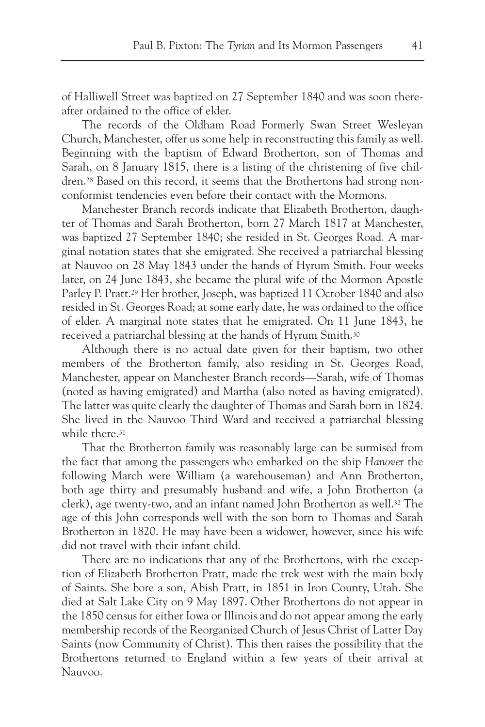of Halliwell Street was baptized on 27 September 1840 and was soon thereafter ordained to the office of elder.

The records of the Oldham Road Formerly Swan Street Wesleyan Church, Manchester, offer us some help in reconstructing this family as well. Beginning with the baptism of Edward Brotherton, son of Thomas and Sarah, on 8 January 1815, there is a listing of the christening of five children.28 Based on this record, it seems that the Brothertons had strong nonconformist tendencies even before their contact with the Mormons.

Manchester Branch records indicate that Elizabeth Brotherton, daughter of Thomas and Sarah Brotherton, born 27 March 1817 at Manchester, was baptized 27 September 1840; she resided in St. Georges Road. A marginal notation states that she emigrated. She received a patriarchal blessing at Nauvoo on 28 May 1843 under the hands of Hyrum Smith. Four weeks later, on 24 June 1843, she became the plural wife of the Mormon Apostle Parley P. Pratt.29 Her brother, Joseph, was baptized 11 October 1840 and also resided in St. Georges Road; at some early date, he was ordained to the office of elder. A marginal note states that he emigrated. On 11 June 1843, he received a patriarchal blessing at the hands of Hyrum Smith.30

Although there is no actual date given for their baptism, two other members of the Brotherton family, also residing in St. Georges Road, Manchester, appear on Manchester Branch records—Sarah, wife of Thomas (noted as having emigrated) and Martha (also noted as having emigrated). The latter was quite clearly the daughter of Thomas and Sarah born in 1824. She lived in the Nauvoo Third Ward and received a patriarchal blessing while there.<sup>31</sup>

That the Brotherton family was reasonably large can be surmised from the fact that among the passengers who embarked on the ship *Hanover* the following March were William (a warehouseman) and Ann Brotherton, both age thirty and presumably husband and wife, a John Brotherton (a clerk), age twenty-two, and an infant named John Brotherton as well.32 The age of this John corresponds well with the son born to Thomas and Sarah Brotherton in 1820. He may have been a widower, however, since his wife did not travel with their infant child.

There are no indications that any of the Brothertons, with the exception of Elizabeth Brotherton Pratt, made the trek west with the main body of Saints. She bore a son, Abish Pratt, in 1851 in Iron County, Utah. She died at Salt Lake City on 9 May 1897. Other Brothertons do not appear in the 1850 census for either Iowa or Illinois and do not appear among the early membership records of the Reorganized Church of Jesus Christ of Latter Day Saints (now Community of Christ). This then raises the possibility that the Brothertons returned to England within a few years of their arrival at Nauvoo.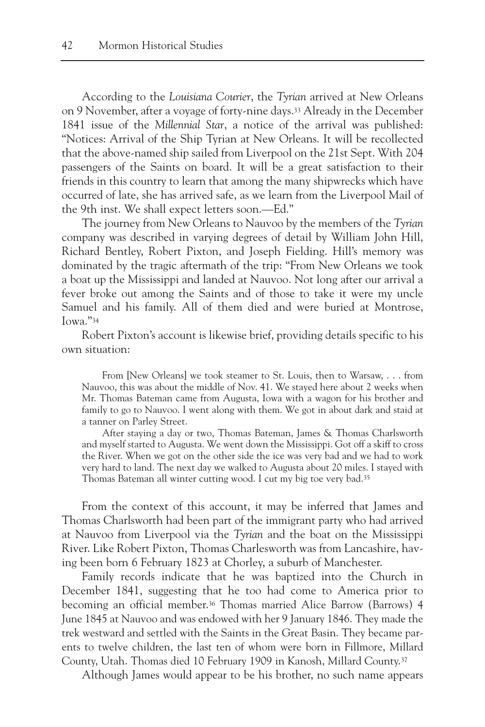According to the *Louisiana Courier*, the *Tyrian* arrived at New Orleans on 9 November, after a voyage of forty-nine days.33 Already in the December 1841 issue of the *Millennial Star*, a notice of the arrival was published: "Notices: Arrival of the Ship Tyrian at New Orleans. It will be recollected that the above-named ship sailed from Liverpool on the 21st Sept. With 204 passengers of the Saints on board. It will be a great satisfaction to their friends in this country to learn that among the many shipwrecks which have occurred of late, she has arrived safe, as we learn from the Liverpool Mail of the 9th inst. We shall expect letters soon.—Ed."

The journey from New Orleans to Nauvoo by the members of the *Tyrian* company was described in varying degrees of detail by William John Hill, Richard Bentley, Robert Pixton, and Joseph Fielding. Hill's memory was dominated by the tragic aftermath of the trip: "From New Orleans we took a boat up the Mississippi and landed at Nauvoo. Not long after our arrival a fever broke out among the Saints and of those to take it were my uncle Samuel and his family. All of them died and were buried at Montrose,  $I<sub>OWa</sub>$ ." $34$ 

Robert Pixton's account is likewise brief, providing details specific to his own situation:

From [New Orleans] we took steamer to St. Louis, then to Warsaw, . . . from Nauvoo, this was about the middle of Nov. 41. We stayed here about 2 weeks when Mr. Thomas Bateman came from Augusta, Iowa with a wagon for his brother and family to go to Nauvoo. I went along with them. We got in about dark and staid at a tanner on Parley Street.

After staying a day or two, Thomas Bateman, James & Thomas Charlsworth and myself started to Augusta. We went down the Mississippi. Got off a skiff to cross the River. When we got on the other side the ice was very bad and we had to work very hard to land. The next day we walked to Augusta about 20 miles. I stayed with Thomas Bateman all winter cutting wood. I cut my big toe very bad.35

From the context of this account, it may be inferred that James and Thomas Charlsworth had been part of the immigrant party who had arrived at Nauvoo from Liverpool via the *Tyrian* and the boat on the Mississippi River. Like Robert Pixton, Thomas Charlesworth was from Lancashire, having been born 6 February 1823 at Chorley, a suburb of Manchester.

Family records indicate that he was baptized into the Church in December 1841, suggesting that he too had come to America prior to becoming an official member.36 Thomas married Alice Barrow (Barrows) 4 June 1845 at Nauvoo and was endowed with her 9 January 1846. They made the trek westward and settled with the Saints in the Great Basin. They became parents to twelve children, the last ten of whom were born in Fillmore, Millard County, Utah. Thomas died 10 February 1909 in Kanosh, Millard County.37

Although James would appear to be his brother, no such name appears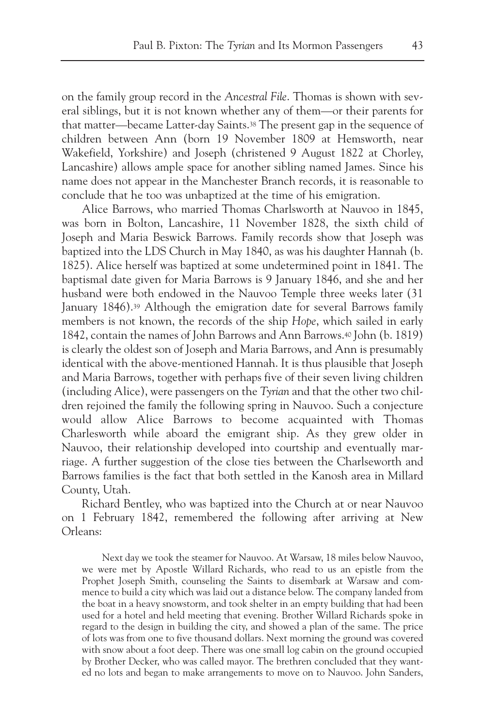on the family group record in the *Ancestral File*. Thomas is shown with several siblings, but it is not known whether any of them—or their parents for that matter—became Latter-day Saints.38 The present gap in the sequence of children between Ann (born 19 November 1809 at Hemsworth, near Wakefield, Yorkshire) and Joseph (christened 9 August 1822 at Chorley, Lancashire) allows ample space for another sibling named James. Since his name does not appear in the Manchester Branch records, it is reasonable to conclude that he too was unbaptized at the time of his emigration.

Alice Barrows, who married Thomas Charlsworth at Nauvoo in 1845, was born in Bolton, Lancashire, 11 November 1828, the sixth child of Joseph and Maria Beswick Barrows. Family records show that Joseph was baptized into the LDS Church in May 1840, as was his daughter Hannah (b. 1825). Alice herself was baptized at some undetermined point in 1841. The baptismal date given for Maria Barrows is 9 January 1846, and she and her husband were both endowed in the Nauvoo Temple three weeks later (31 January 1846).39 Although the emigration date for several Barrows family members is not known, the records of the ship *Hope*, which sailed in early 1842, contain the names of John Barrows and Ann Barrows.40 John (b. 1819) is clearly the oldest son of Joseph and Maria Barrows, and Ann is presumably identical with the above-mentioned Hannah. It is thus plausible that Joseph and Maria Barrows, together with perhaps five of their seven living children (including Alice), were passengers on the *Tyrian* and that the other two children rejoined the family the following spring in Nauvoo. Such a conjecture would allow Alice Barrows to become acquainted with Thomas Charlesworth while aboard the emigrant ship. As they grew older in Nauvoo, their relationship developed into courtship and eventually marriage. A further suggestion of the close ties between the Charlseworth and Barrows families is the fact that both settled in the Kanosh area in Millard County, Utah.

Richard Bentley, who was baptized into the Church at or near Nauvoo on 1 February 1842, remembered the following after arriving at New Orleans:

Next day we took the steamer for Nauvoo. At Warsaw, 18 miles below Nauvoo, we were met by Apostle Willard Richards, who read to us an epistle from the Prophet Joseph Smith, counseling the Saints to disembark at Warsaw and commence to build a city which was laid out a distance below. The company landed from the boat in a heavy snowstorm, and took shelter in an empty building that had been used for a hotel and held meeting that evening. Brother Willard Richards spoke in regard to the design in building the city, and showed a plan of the same. The price of lots was from one to five thousand dollars. Next morning the ground was covered with snow about a foot deep. There was one small log cabin on the ground occupied by Brother Decker, who was called mayor. The brethren concluded that they wanted no lots and began to make arrangements to move on to Nauvoo. John Sanders,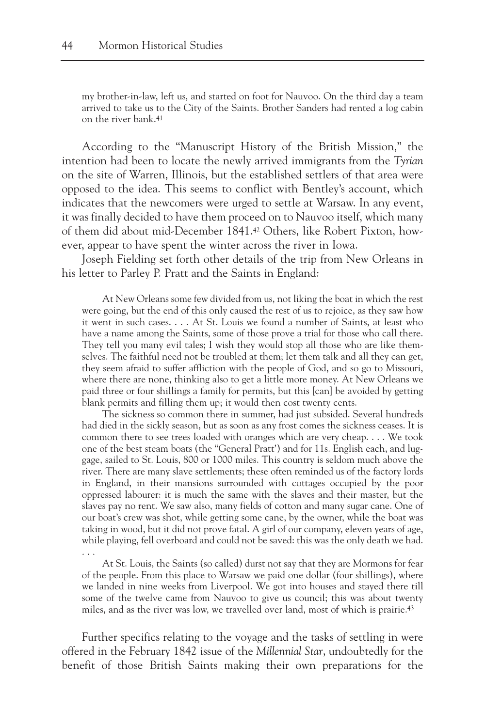my brother-in-law, left us, and started on foot for Nauvoo. On the third day a team arrived to take us to the City of the Saints. Brother Sanders had rented a log cabin on the river bank.41

According to the "Manuscript History of the British Mission," the intention had been to locate the newly arrived immigrants from the *Tyrian* on the site of Warren, Illinois, but the established settlers of that area were opposed to the idea. This seems to conflict with Bentley's account, which indicates that the newcomers were urged to settle at Warsaw. In any event, it was finally decided to have them proceed on to Nauvoo itself, which many of them did about mid-December 1841.42 Others, like Robert Pixton, however, appear to have spent the winter across the river in Iowa.

Joseph Fielding set forth other details of the trip from New Orleans in his letter to Parley P. Pratt and the Saints in England:

At New Orleans some few divided from us, not liking the boat in which the rest were going, but the end of this only caused the rest of us to rejoice, as they saw how it went in such cases. . . . At St. Louis we found a number of Saints, at least who have a name among the Saints, some of those prove a trial for those who call there. They tell you many evil tales; I wish they would stop all those who are like themselves. The faithful need not be troubled at them; let them talk and all they can get, they seem afraid to suffer affliction with the people of God, and so go to Missouri, where there are none, thinking also to get a little more money. At New Orleans we paid three or four shillings a family for permits, but this [can] be avoided by getting blank permits and filling them up; it would then cost twenty cents.

The sickness so common there in summer, had just subsided. Several hundreds had died in the sickly season, but as soon as any frost comes the sickness ceases. It is common there to see trees loaded with oranges which are very cheap. . . . We took one of the best steam boats (the "General Pratt') and for 11s. English each, and luggage, sailed to St. Louis, 800 or 1000 miles. This country is seldom much above the river. There are many slave settlements; these often reminded us of the factory lords in England, in their mansions surrounded with cottages occupied by the poor oppressed labourer: it is much the same with the slaves and their master, but the slaves pay no rent. We saw also, many fields of cotton and many sugar cane. One of our boat's crew was shot, while getting some cane, by the owner, while the boat was taking in wood, but it did not prove fatal. A girl of our company, eleven years of age, while playing, fell overboard and could not be saved: this was the only death we had. . . .

At St. Louis, the Saints (so called) durst not say that they are Mormons for fear of the people. From this place to Warsaw we paid one dollar (four shillings), where we landed in nine weeks from Liverpool. We got into houses and stayed there till some of the twelve came from Nauvoo to give us council; this was about twenty miles, and as the river was low, we travelled over land, most of which is prairie.43

Further specifics relating to the voyage and the tasks of settling in were offered in the February 1842 issue of the *Millennial Star*, undoubtedly for the benefit of those British Saints making their own preparations for the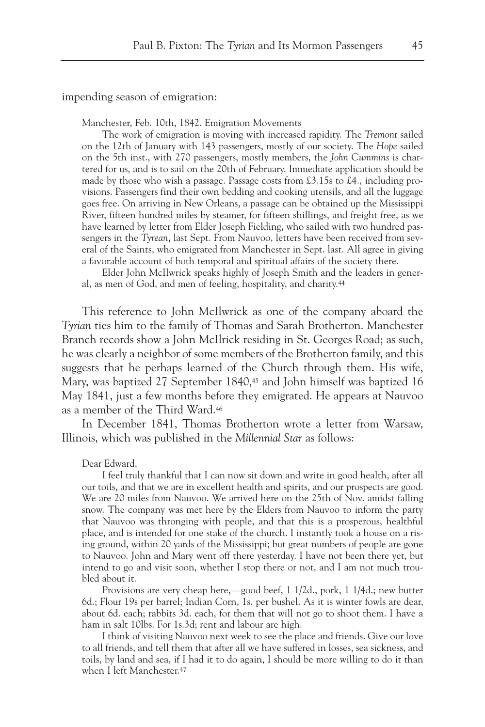impending season of emigration:

Manchester, Feb. 10th, 1842. Emigration Movements

The work of emigration is moving with increased rapidity. The *Tremont* sailed on the 12th of January with 143 passengers, mostly of our society. The *Hope* sailed on the 5th inst., with 270 passengers, mostly members, the *John Cummins* is chartered for us, and is to sail on the 20th of February. Immediate application should be made by those who wish a passage. Passage costs from £3.15s to £4., including provisions. Passengers find their own bedding and cooking utensils, and all the luggage goes free. On arriving in New Orleans, a passage can be obtained up the Mississippi River, fifteen hundred miles by steamer, for fifteen shillings, and freight free, as we have learned by letter from Elder Joseph Fielding, who sailed with two hundred passengers in the *Tyrean*, last Sept. From Nauvoo, letters have been received from several of the Saints, who emigrated from Manchester in Sept. last. All agree in giving a favorable account of both temporal and spiritual affairs of the society there.

Elder John McIlwrick speaks highly of Joseph Smith and the leaders in general, as men of God, and men of feeling, hospitality, and charity.44

This reference to John McIlwrick as one of the company aboard the *Tyrian* ties him to the family of Thomas and Sarah Brotherton. Manchester Branch records show a John McIlrick residing in St. Georges Road; as such, he was clearly a neighbor of some members of the Brotherton family, and this suggests that he perhaps learned of the Church through them. His wife, Mary, was baptized 27 September 1840,45 and John himself was baptized 16 May 1841, just a few months before they emigrated. He appears at Nauvoo as a member of the Third Ward.46

In December 1841, Thomas Brotherton wrote a letter from Warsaw, Illinois, which was published in the *Millennial Star* as follows:

Dear Edward,

I feel truly thankful that I can now sit down and write in good health, after all our toils, and that we are in excellent health and spirits, and our prospects are good. We are 20 miles from Nauvoo. We arrived here on the 25th of Nov. amidst falling snow. The company was met here by the Elders from Nauvoo to inform the party that Nauvoo was thronging with people, and that this is a prosperous, healthful place, and is intended for one stake of the church. I instantly took a house on a rising ground, within 20 yards of the Mississippi; but great numbers of people are gone to Nauvoo. John and Mary went off there yesterday. I have not been there yet, but intend to go and visit soon, whether I stop there or not, and I am not much troubled about it.

Provisions are very cheap here,—good beef, 1 1/2d., pork, 1 1/4d.; new butter 6d.; Flour 19s per barrel; Indian Corn, 1s. per bushel. As it is winter fowls are dear, about 6d. each; rabbits 3d. each, for them that will not go to shoot them. I have a ham in salt 10lbs. For 1s.3d; rent and labour are high.

I think of visiting Nauvoo next week to see the place and friends. Give our love to all friends, and tell them that after all we have suffered in losses, sea sickness, and toils, by land and sea, if I had it to do again, I should be more willing to do it than when I left Manchester.47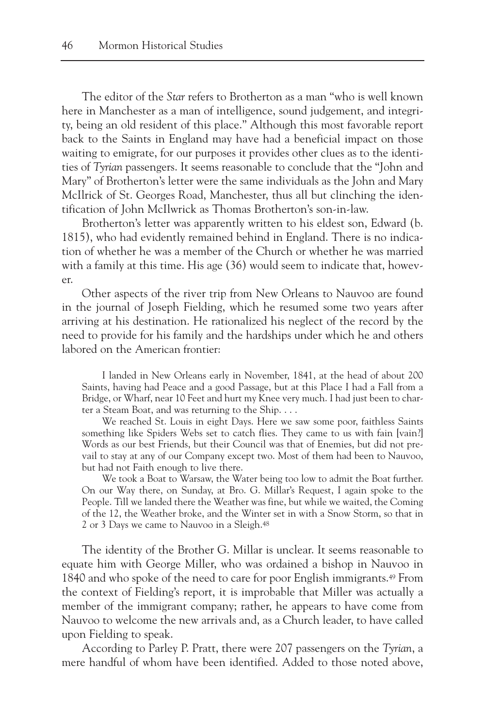The editor of the *Star* refers to Brotherton as a man "who is well known here in Manchester as a man of intelligence, sound judgement, and integrity, being an old resident of this place." Although this most favorable report back to the Saints in England may have had a beneficial impact on those waiting to emigrate, for our purposes it provides other clues as to the identities of *Tyrian* passengers. It seems reasonable to conclude that the "John and Mary" of Brotherton's letter were the same individuals as the John and Mary McIlrick of St. Georges Road, Manchester, thus all but clinching the identification of John McIlwrick as Thomas Brotherton's son-in-law.

Brotherton's letter was apparently written to his eldest son, Edward (b. 1815), who had evidently remained behind in England. There is no indication of whether he was a member of the Church or whether he was married with a family at this time. His age (36) would seem to indicate that, however.

Other aspects of the river trip from New Orleans to Nauvoo are found in the journal of Joseph Fielding, which he resumed some two years after arriving at his destination. He rationalized his neglect of the record by the need to provide for his family and the hardships under which he and others labored on the American frontier:

I landed in New Orleans early in November, 1841, at the head of about 200 Saints, having had Peace and a good Passage, but at this Place I had a Fall from a Bridge, or Wharf, near 10 Feet and hurt my Knee very much. I had just been to charter a Steam Boat, and was returning to the Ship. . . .

We reached St. Louis in eight Days. Here we saw some poor, faithless Saints something like Spiders Webs set to catch flies. They came to us with fain [vain?] Words as our best Friends, but their Council was that of Enemies, but did not prevail to stay at any of our Company except two. Most of them had been to Nauvoo, but had not Faith enough to live there.

We took a Boat to Warsaw, the Water being too low to admit the Boat further. On our Way there, on Sunday, at Bro. G. Millar's Request, I again spoke to the People. Till we landed there the Weather was fine, but while we waited, the Coming of the 12, the Weather broke, and the Winter set in with a Snow Storm, so that in 2 or 3 Days we came to Nauvoo in a Sleigh.<sup>48</sup>

The identity of the Brother G. Millar is unclear. It seems reasonable to equate him with George Miller, who was ordained a bishop in Nauvoo in 1840 and who spoke of the need to care for poor English immigrants.49 From the context of Fielding's report, it is improbable that Miller was actually a member of the immigrant company; rather, he appears to have come from Nauvoo to welcome the new arrivals and, as a Church leader, to have called upon Fielding to speak.

According to Parley P. Pratt, there were 207 passengers on the *Tyrian*, a mere handful of whom have been identified. Added to those noted above,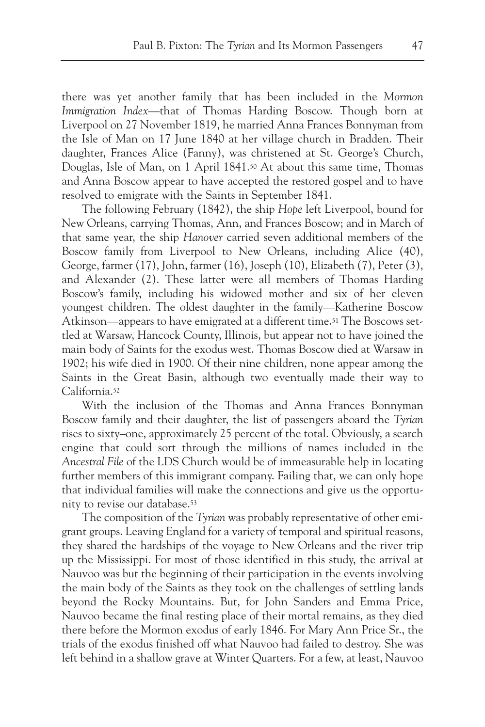there was yet another family that has been included in the *Mormon Immigration Index*—that of Thomas Harding Boscow. Though born at Liverpool on 27 November 1819, he married Anna Frances Bonnyman from the Isle of Man on 17 June 1840 at her village church in Bradden. Their daughter, Frances Alice (Fanny), was christened at St. George's Church, Douglas, Isle of Man, on 1 April 1841.50 At about this same time, Thomas and Anna Boscow appear to have accepted the restored gospel and to have resolved to emigrate with the Saints in September 1841.

The following February (1842), the ship *Hope* left Liverpool, bound for New Orleans, carrying Thomas, Ann, and Frances Boscow; and in March of that same year, the ship *Hanover* carried seven additional members of the Boscow family from Liverpool to New Orleans, including Alice (40), George, farmer (17), John, farmer (16), Joseph (10), Elizabeth (7), Peter (3), and Alexander (2). These latter were all members of Thomas Harding Boscow's family, including his widowed mother and six of her eleven youngest children. The oldest daughter in the family—Katherine Boscow Atkinson—appears to have emigrated at a different time.<sup>51</sup> The Boscows settled at Warsaw, Hancock County, Illinois, but appear not to have joined the main body of Saints for the exodus west. Thomas Boscow died at Warsaw in 1902; his wife died in 1900. Of their nine children, none appear among the Saints in the Great Basin, although two eventually made their way to California.52

With the inclusion of the Thomas and Anna Frances Bonnyman Boscow family and their daughter, the list of passengers aboard the *Tyrian* rises to sixty–one, approximately 25 percent of the total. Obviously, a search engine that could sort through the millions of names included in the *Ancestral File* of the LDS Church would be of immeasurable help in locating further members of this immigrant company. Failing that, we can only hope that individual families will make the connections and give us the opportunity to revise our database.53

The composition of the *Tyrian* was probably representative of other emigrant groups. Leaving England for a variety of temporal and spiritual reasons, they shared the hardships of the voyage to New Orleans and the river trip up the Mississippi. For most of those identified in this study, the arrival at Nauvoo was but the beginning of their participation in the events involving the main body of the Saints as they took on the challenges of settling lands beyond the Rocky Mountains. But, for John Sanders and Emma Price, Nauvoo became the final resting place of their mortal remains, as they died there before the Mormon exodus of early 1846. For Mary Ann Price Sr., the trials of the exodus finished off what Nauvoo had failed to destroy. She was left behind in a shallow grave at Winter Quarters. For a few, at least, Nauvoo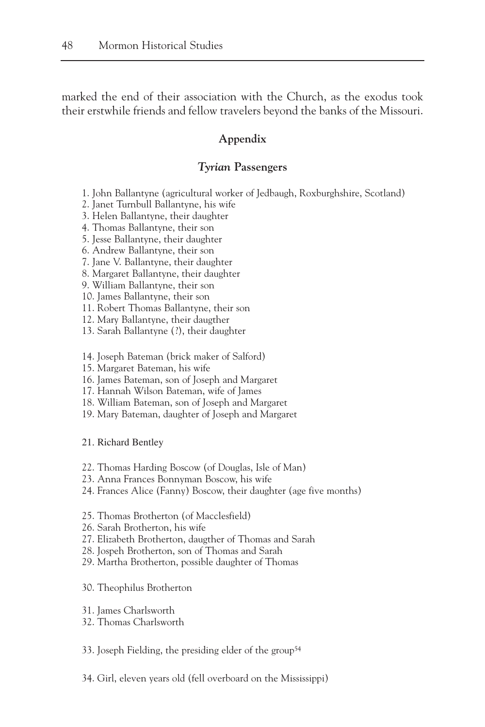marked the end of their association with the Church, as the exodus took their erstwhile friends and fellow travelers beyond the banks of the Missouri.

### **Appendix**

#### *Tyrian* **Passengers**

- 1. John Ballantyne (agricultural worker of Jedbaugh, Roxburghshire, Scotland)
- 2. Janet Turnbull Ballantyne, his wife
- 3. Helen Ballantyne, their daughter
- 4. Thomas Ballantyne, their son
- 5. Jesse Ballantyne, their daughter
- 6. Andrew Ballantyne, their son
- 7. Jane V. Ballantyne, their daughter
- 8. Margaret Ballantyne, their daughter
- 9. William Ballantyne, their son
- 10. James Ballantyne, their son
- 11. Robert Thomas Ballantyne, their son
- 12. Mary Ballantyne, their daugther
- 13. Sarah Ballantyne (?), their daughter
- 14. Joseph Bateman (brick maker of Salford)
- 15. Margaret Bateman, his wife
- 16. James Bateman, son of Joseph and Margaret
- 17. Hannah Wilson Bateman, wife of James
- 18. William Bateman, son of Joseph and Margaret
- 19. Mary Bateman, daughter of Joseph and Margaret

21. Richard Bentley

- 22. Thomas Harding Boscow (of Douglas, Isle of Man)
- 23. Anna Frances Bonnyman Boscow, his wife
- 24. Frances Alice (Fanny) Boscow, their daughter (age five months)
- 25. Thomas Brotherton (of Macclesfield)
- 26. Sarah Brotherton, his wife
- 27. Elizabeth Brotherton, daugther of Thomas and Sarah
- 28. Jospeh Brotherton, son of Thomas and Sarah
- 29. Martha Brotherton, possible daughter of Thomas
- 30. Theophilus Brotherton
- 31. James Charlsworth
- 32. Thomas Charlsworth
- 33. Joseph Fielding, the presiding elder of the group<sup>54</sup>
- 34. Girl, eleven years old (fell overboard on the Mississippi)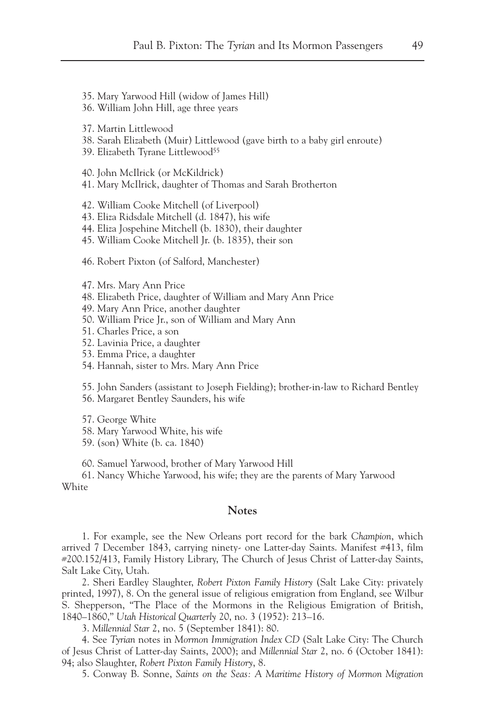35. Mary Yarwood Hill (widow of James Hill) 36. William John Hill, age three years 37. Martin Littlewood 38. Sarah Elizabeth (Muir) Littlewood (gave birth to a baby girl enroute) 39. Elizabeth Tyrane Littlewood<sup>55</sup> 40. John McIlrick (or McKildrick) 41. Mary McIlrick, daughter of Thomas and Sarah Brotherton 42. William Cooke Mitchell (of Liverpool) 43. Eliza Ridsdale Mitchell (d. 1847), his wife 44. Eliza Jospehine Mitchell (b. 1830), their daughter 45. William Cooke Mitchell Jr. (b. 1835), their son 46. Robert Pixton (of Salford, Manchester) 47. Mrs. Mary Ann Price 48. Elizabeth Price, daughter of William and Mary Ann Price 49. Mary Ann Price, another daughter 50. William Price Jr., son of William and Mary Ann 51. Charles Price, a son 52. Lavinia Price, a daughter 53. Emma Price, a daughter 54. Hannah, sister to Mrs. Mary Ann Price 55. John Sanders (assistant to Joseph Fielding); brother-in-law to Richard Bentley 56. Margaret Bentley Saunders, his wife 57. George White 58. Mary Yarwood White, his wife 59. (son) White (b. ca. 1840)

60. Samuel Yarwood, brother of Mary Yarwood Hill

61. Nancy Whiche Yarwood, his wife; they are the parents of Mary Yarwood White

#### **Notes**

1. For example, see the New Orleans port record for the bark *Champion*, which arrived 7 December 1843, carrying ninety- one Latter-day Saints. Manifest #413, film #200.152/413, Family History Library, The Church of Jesus Christ of Latter-day Saints, Salt Lake City, Utah.

2. Sheri Eardley Slaughter, *Robert Pixton Family History* (Salt Lake City: privately printed, 1997), 8. On the general issue of religious emigration from England, see Wilbur S. Shepperson, "The Place of the Mormons in the Religious Emigration of British, 1840–1860," *Utah Historical Quarterly* 20, no. 3 (1952): 213–16.

3. *Millennial Star* 2, no. 5 (September 1841): 80.

4. See *Tyrian* notes in *Mormon Immigration Index CD* (Salt Lake City: The Church of Jesus Christ of Latter-day Saints, 2000); and *Millennial Star* 2, no. 6 (October 1841): 94; also Slaughter, *Robert Pixton Family History*, 8.

5. Conway B. Sonne, *Saints on the Seas: A Maritime History of Mormon Migration*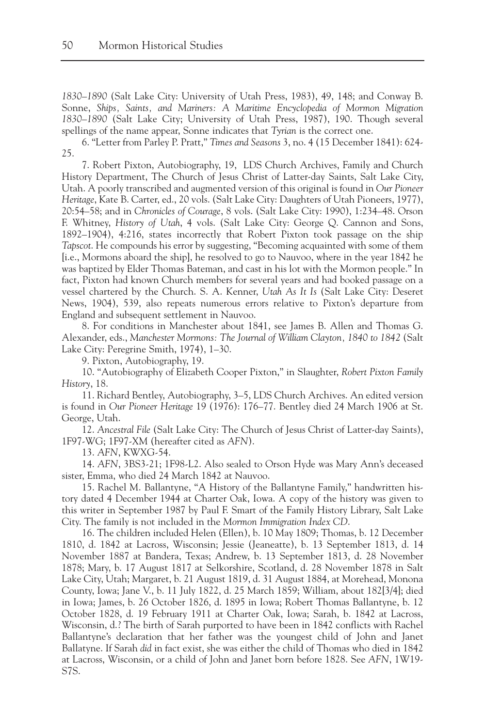*1830–1890* (Salt Lake City: University of Utah Press, 1983), 49, 148; and Conway B. Sonne, *Ships, Saints, and Mariners: A Maritime Encyclopedia of Mormon Migration 1830–1890* (Salt Lake City; University of Utah Press, 1987), 190. Though several spellings of the name appear, Sonne indicates that *Tyrian* is the correct one.

6. "Letter from Parley P. Pratt," *Times and Seasons* 3, no. 4 (15 December 1841): 624- 25.

7. Robert Pixton, Autobiography, 19, LDS Church Archives, Family and Church History Department, The Church of Jesus Christ of Latter-day Saints, Salt Lake City, Utah. A poorly transcribed and augmented version of this original is found in *Our Pioneer Heritage*, Kate B. Carter, ed., 20 vols. (Salt Lake City: Daughters of Utah Pioneers, 1977), 20:54–58; and in *Chronicles of Courage*, 8 vols. (Salt Lake City: 1990), 1:234–48. Orson F. Whitney, *History of Utah*, 4 vols. (Salt Lake City: George Q. Cannon and Sons, 1892–1904), 4:216, states incorrectly that Robert Pixton took passage on the ship *Tapscot*. He compounds his error by suggesting, "Becoming acquainted with some of them [i.e., Mormons aboard the ship], he resolved to go to Nauvoo, where in the year 1842 he was baptized by Elder Thomas Bateman, and cast in his lot with the Mormon people." In fact, Pixton had known Church members for several years and had booked passage on a vessel chartered by the Church. S. A. Kenner, *Utah As It Is* (Salt Lake City: Deseret News, 1904), 539, also repeats numerous errors relative to Pixton's departure from England and subsequent settlement in Nauvoo.

8. For conditions in Manchester about 1841, see James B. Allen and Thomas G. Alexander, eds., *Manchester Mormons: The Journal of William Clayton, 1840 to 1842* (Salt Lake City: Peregrine Smith, 1974), 1–30.

9. Pixton, Autobiography, 19.

10. "Autobiography of Elizabeth Cooper Pixton," in Slaughter, *Robert Pixton Family History*, 18.

11. Richard Bentley, Autobiography, 3–5, LDS Church Archives. An edited version is found in *Our Pioneer Heritage* 19 (1976): 176–77. Bentley died 24 March 1906 at St. George, Utah.

12. *Ancestral File* (Salt Lake City: The Church of Jesus Christ of Latter-day Saints), 1F97-WG; 1F97-XM (hereafter cited as *AFN*).

13. *AFN*, KWXG-54.

14. *AFN*, 3BS3-21; 1F98-L2. Also sealed to Orson Hyde was Mary Ann's deceased sister, Emma, who died 24 March 1842 at Nauvoo.

15. Rachel M. Ballantyne, "A History of the Ballantyne Family," handwritten history dated 4 December 1944 at Charter Oak, Iowa. A copy of the history was given to this writer in September 1987 by Paul F. Smart of the Family History Library, Salt Lake City. The family is not included in the *Mormon Immigration Index CD*.

16. The children included Helen (Ellen), b. 10 May 1809; Thomas, b. 12 December 1810, d. 1842 at Lacross, Wisconsin; Jessie (Jeaneatte), b. 13 September 1813, d. 14 November 1887 at Bandera, Texas; Andrew, b. 13 September 1813, d. 28 November 1878; Mary, b. 17 August 1817 at Selkorshire, Scotland, d. 28 November 1878 in Salt Lake City, Utah; Margaret, b. 21 August 1819, d. 31 August 1884, at Morehead, Monona County, Iowa; Jane V., b. 11 July 1822, d. 25 March 1859; William, about 182[3/4]; died in Iowa; James, b. 26 October 1826, d. 1895 in Iowa; Robert Thomas Ballantyne, b. 12 October 1828, d. 19 February 1911 at Charter Oak, Iowa; Sarah, b. 1842 at Lacross, Wisconsin, d.? The birth of Sarah purported to have been in 1842 conflicts with Rachel Ballantyne's declaration that her father was the youngest child of John and Janet Ballatyne. If Sarah *did* in fact exist, she was either the child of Thomas who died in 1842 at Lacross, Wisconsin, or a child of John and Janet born before 1828. See *AFN*, 1W19- S7S.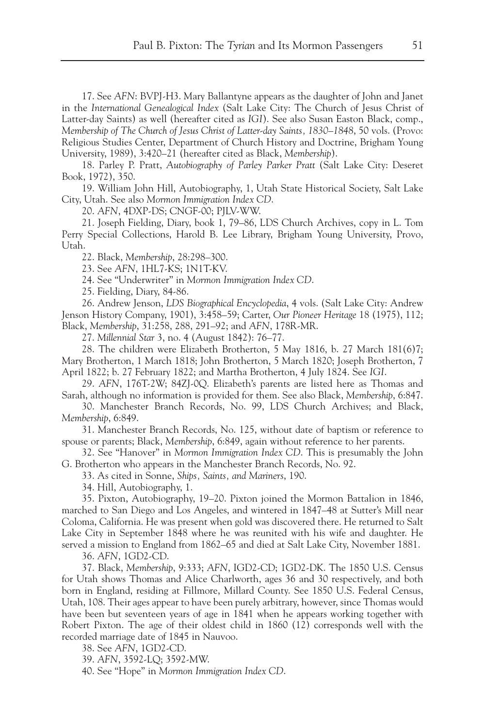17. See *AFN*: BVPJ-H3. Mary Ballantyne appears as the daughter of John and Janet in the *International Genealogical Index* (Salt Lake City: The Church of Jesus Christ of Latter-day Saints) as well (hereafter cited as *IGI*). See also Susan Easton Black, comp., *Membership of The Church of Jesus Christ of Latter-day Saints, 1830–1848*, 50 vols. (Provo: Religious Studies Center, Department of Church History and Doctrine, Brigham Young University, 1989), 3:420–21 (hereafter cited as Black, *Membership*).

18. Parley P. Pratt, *Autobiography of Parley Parker Pratt* (Salt Lake City: Deseret Book, 1972), 350.

19. William John Hill, Autobiography, 1, Utah State Historical Society, Salt Lake City, Utah. See also *Mormon Immigration Index CD*.

20. *AFN*, 4DXP-DS; CNGF-00; PJLV-WW.

21. Joseph Fielding, Diary, book 1, 79–86, LDS Church Archives, copy in L. Tom Perry Special Collections, Harold B. Lee Library, Brigham Young University, Provo, Utah.

22. Black, *Membership*, 28:298–300.

23. See *AFN*, 1HL7-KS; 1N1T-KV.

24. See "Underwriter" in *Mormon Immigration Index CD*.

25. Fielding, Diary, 84-86.

26. Andrew Jenson, *LDS Biographical Encyclopedia*, 4 vols. (Salt Lake City: Andrew Jenson History Company, 1901), 3:458–59; Carter, *Our Pioneer Heritage* 18 (1975), 112; Black, *Membership*, 31:258, 288, 291–92; and *AFN*, 178R-MR.

27. *Millennial Star* 3, no. 4 (August 1842): 76–77.

28. The children were Elizabeth Brotherton, 5 May 1816, b. 27 March 181(6)7; Mary Brotherton, 1 March 1818; John Brotherton, 5 March 1820; Joseph Brotherton, 7 April 1822; b. 27 February 1822; and Martha Brotherton, 4 July 1824. See *IGI*.

29. *AFN*, 176T-2W; 84ZJ-0Q. Elizabeth's parents are listed here as Thomas and Sarah, although no information is provided for them. See also Black, *Membership*, 6:847.

30. Manchester Branch Records, No. 99, LDS Church Archives; and Black, *Membership*, 6:849.

31. Manchester Branch Records, No. 125, without date of baptism or reference to spouse or parents; Black, *Membership*, 6:849, again without reference to her parents.

32. See "Hanover" in *Mormon Immigration Index CD*. This is presumably the John G. Brotherton who appears in the Manchester Branch Records, No. 92.

33. As cited in Sonne, *Ships, Saints, and Mariners*, 190.

34. Hill, Autobiography, 1.

35. Pixton, Autobiography, 19–20. Pixton joined the Mormon Battalion in 1846, marched to San Diego and Los Angeles, and wintered in 1847–48 at Sutter's Mill near Coloma, California. He was present when gold was discovered there. He returned to Salt Lake City in September 1848 where he was reunited with his wife and daughter. He served a mission to England from 1862–65 and died at Salt Lake City, November 1881.

36. *AFN*, 1GD2-CD.

37. Black, *Membership*, 9:333; *AFN*, IGD2-CD; 1GD2-DK. The 1850 U.S. Census for Utah shows Thomas and Alice Charlworth, ages 36 and 30 respectively, and both born in England, residing at Fillmore, Millard County. See 1850 U.S. Federal Census, Utah, 108. Their ages appear to have been purely arbitrary, however, since Thomas would have been but seventeen years of age in 1841 when he appears working together with Robert Pixton. The age of their oldest child in 1860 (12) corresponds well with the recorded marriage date of 1845 in Nauvoo.

38. See *AFN*, 1GD2-CD.

39. *AFN*, 3592-LQ; 3592-MW.

40. See "Hope" in *Mormon Immigration Index CD*.